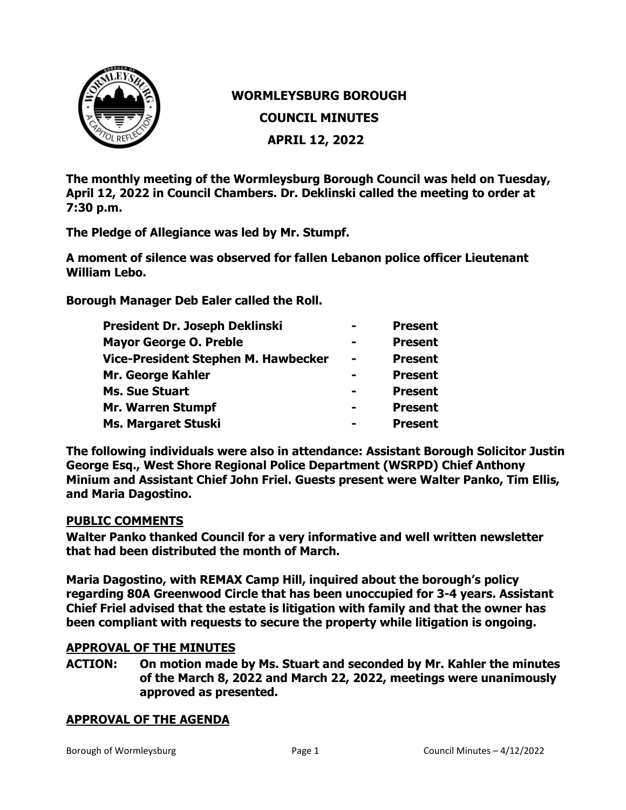

# **WORMLEYSBURG BOROUGH**

**COUNCIL MINUTES**

**APRIL 12, 2022** 

**The monthly meeting of the Wormleysburg Borough Council was held on Tuesday, April 12, 2022 in Council Chambers. Dr. Deklinski called the meeting to order at 7:30 p.m.** 

**The Pledge of Allegiance was led by Mr. Stumpf.** 

**A moment of silence was observed for fallen Lebanon police officer Lieutenant William Lebo.** 

**Borough Manager Deb Ealer called the Roll.**

| President Dr. Joseph Deklinski             |                | <b>Present</b> |
|--------------------------------------------|----------------|----------------|
| <b>Mayor George O. Preble</b>              | $\equiv$       | <b>Present</b> |
| <b>Vice-President Stephen M. Hawbecker</b> | $\blacksquare$ | <b>Present</b> |
| Mr. George Kahler                          | -              | <b>Present</b> |
| <b>Ms. Sue Stuart</b>                      | -              | <b>Present</b> |
| <b>Mr. Warren Stumpf</b>                   | -              | <b>Present</b> |
| <b>Ms. Margaret Stuski</b>                 | -              | <b>Present</b> |

**The following individuals were also in attendance: Assistant Borough Solicitor Justin George Esq., West Shore Regional Police Department (WSRPD) Chief Anthony Minium and Assistant Chief John Friel. Guests present were Walter Panko, Tim Ellis, and Maria Dagostino.** 

# **PUBLIC COMMENTS**

**Walter Panko thanked Council for a very informative and well written newsletter that had been distributed the month of March.**

**Maria Dagostino, with REMAX Camp Hill, inquired about the borough's policy regarding 80A Greenwood Circle that has been unoccupied for 3-4 years. Assistant Chief Friel advised that the estate is litigation with family and that the owner has been compliant with requests to secure the property while litigation is ongoing.** 

# **APPROVAL OF THE MINUTES**

**ACTION: On motion made by Ms. Stuart and seconded by Mr. Kahler the minutes of the March 8, 2022 and March 22, 2022, meetings were unanimously approved as presented.**

# **APPROVAL OF THE AGENDA**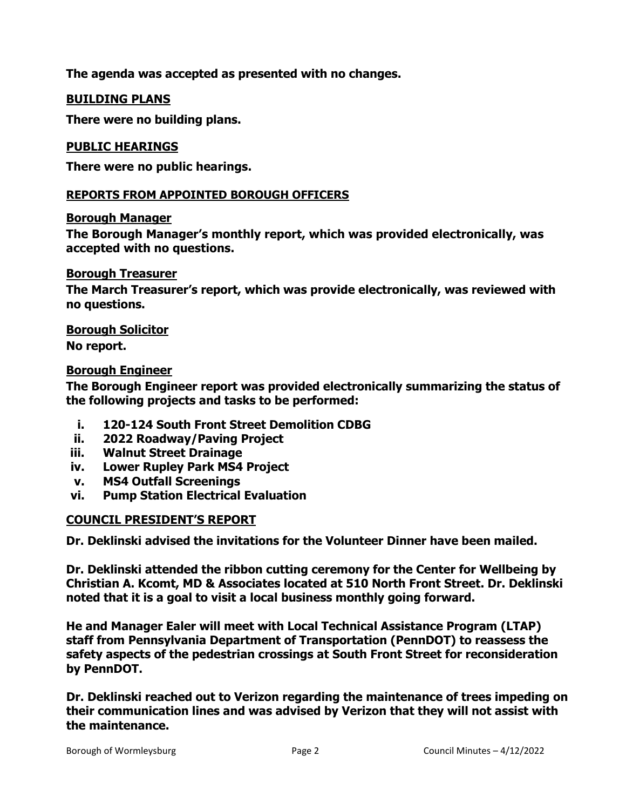**The agenda was accepted as presented with no changes.**

# **BUILDING PLANS**

**There were no building plans.** 

#### **PUBLIC HEARINGS**

**There were no public hearings.**

#### **REPORTS FROM APPOINTED BOROUGH OFFICERS**

#### **Borough Manager**

**The Borough Manager's monthly report, which was provided electronically, was accepted with no questions.** 

#### **Borough Treasurer**

**The March Treasurer's report, which was provide electronically, was reviewed with no questions.** 

# **Borough Solicitor**

**No report.**

#### **Borough Engineer**

**The Borough Engineer report was provided electronically summarizing the status of the following projects and tasks to be performed:**

- **i. 120-124 South Front Street Demolition CDBG**
- **ii. 2022 Roadway/Paving Project**
- **iii. Walnut Street Drainage**
- **iv. Lower Rupley Park MS4 Project**
- **v. MS4 Outfall Screenings**
- **vi. Pump Station Electrical Evaluation**

# **COUNCIL PRESIDENT'S REPORT**

**Dr. Deklinski advised the invitations for the Volunteer Dinner have been mailed.** 

**Dr. Deklinski attended the ribbon cutting ceremony for the Center for Wellbeing by Christian A. Kcomt, MD & Associates located at 510 North Front Street. Dr. Deklinski noted that it is a goal to visit a local business monthly going forward.**

**He and Manager Ealer will meet with Local Technical Assistance Program (LTAP) staff from Pennsylvania Department of Transportation (PennDOT) to reassess the safety aspects of the pedestrian crossings at South Front Street for reconsideration by PennDOT.** 

**Dr. Deklinski reached out to Verizon regarding the maintenance of trees impeding on their communication lines and was advised by Verizon that they will not assist with the maintenance.**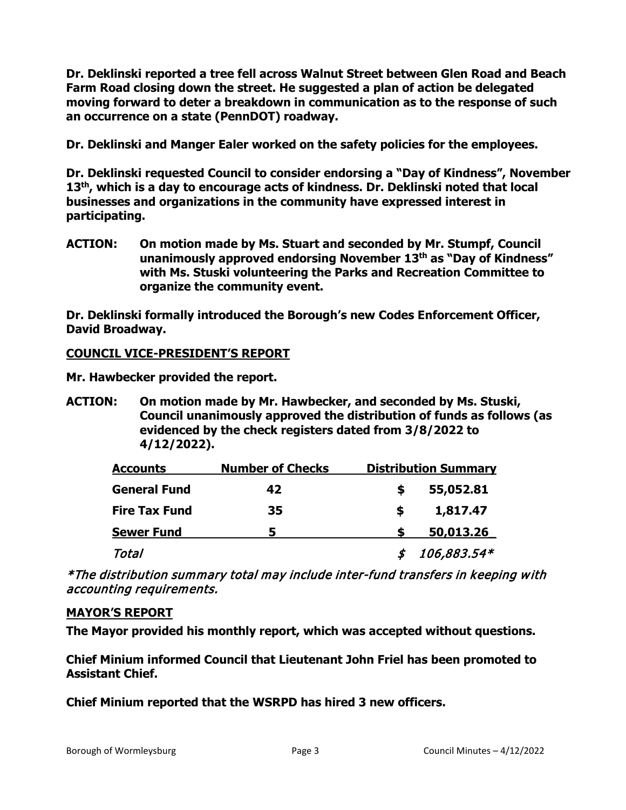**Dr. Deklinski reported a tree fell across Walnut Street between Glen Road and Beach Farm Road closing down the street. He suggested a plan of action be delegated moving forward to deter a breakdown in communication as to the response of such an occurrence on a state (PennDOT) roadway.**

**Dr. Deklinski and Manger Ealer worked on the safety policies for the employees.**

**Dr. Deklinski requested Council to consider endorsing a "Day of Kindness", November 13th, which is a day to encourage acts of kindness. Dr. Deklinski noted that local businesses and organizations in the community have expressed interest in participating.** 

**ACTION: On motion made by Ms. Stuart and seconded by Mr. Stumpf, Council unanimously approved endorsing November 13th as "Day of Kindness" with Ms. Stuski volunteering the Parks and Recreation Committee to organize the community event.** 

**Dr. Deklinski formally introduced the Borough's new Codes Enforcement Officer, David Broadway.** 

# **COUNCIL VICE-PRESIDENT'S REPORT**

**Mr. Hawbecker provided the report.**

**ACTION: On motion made by Mr. Hawbecker, and seconded by Ms. Stuski, Council unanimously approved the distribution of funds as follows (as evidenced by the check registers dated from 3/8/2022 to 4/12/2022).**

| <b>Accounts</b>      | <b>Number of Checks</b> | <b>Distribution Summary</b> |             |
|----------------------|-------------------------|-----------------------------|-------------|
| <b>General Fund</b>  | 42                      |                             | 55,052.81   |
| <b>Fire Tax Fund</b> | 35                      |                             | 1,817.47    |
| <b>Sewer Fund</b>    | 5                       |                             | 50,013.26   |
| Total                |                         |                             | 106,883.54* |

\*The distribution summary total may include inter-fund transfers in keeping with accounting requirements.

# **MAYOR'S REPORT**

**The Mayor provided his monthly report, which was accepted without questions.** 

**Chief Minium informed Council that Lieutenant John Friel has been promoted to Assistant Chief.**

**Chief Minium reported that the WSRPD has hired 3 new officers.**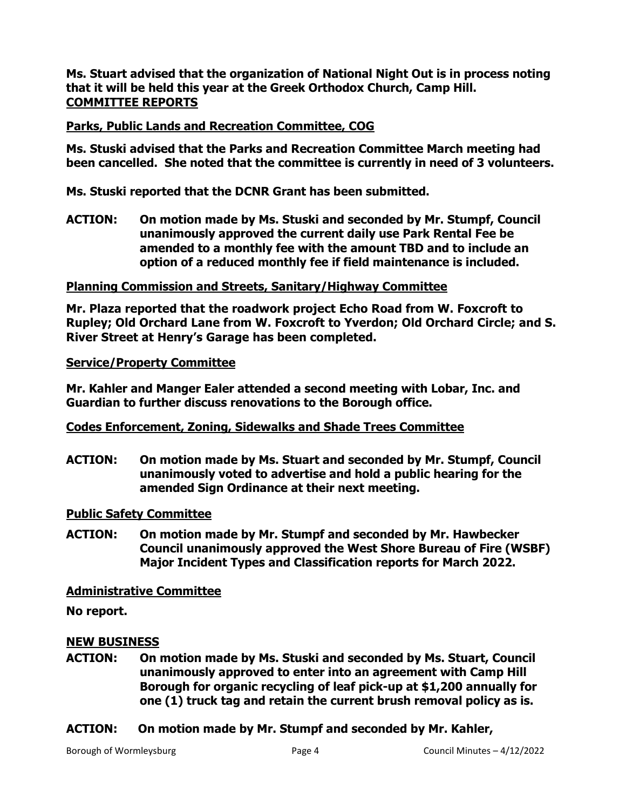**Ms. Stuart advised that the organization of National Night Out is in process noting that it will be held this year at the Greek Orthodox Church, Camp Hill. COMMITTEE REPORTS** 

# **Parks, Public Lands and Recreation Committee, COG**

**Ms. Stuski advised that the Parks and Recreation Committee March meeting had been cancelled. She noted that the committee is currently in need of 3 volunteers.**

**Ms. Stuski reported that the DCNR Grant has been submitted.**

**ACTION: On motion made by Ms. Stuski and seconded by Mr. Stumpf, Council unanimously approved the current daily use Park Rental Fee be amended to a monthly fee with the amount TBD and to include an option of a reduced monthly fee if field maintenance is included.** 

# **Planning Commission and Streets, Sanitary/Highway Committee**

**Mr. Plaza reported that the roadwork project Echo Road from W. Foxcroft to Rupley; Old Orchard Lane from W. Foxcroft to Yverdon; Old Orchard Circle; and S. River Street at Henry's Garage has been completed.** 

# **Service/Property Committee**

**Mr. Kahler and Manger Ealer attended a second meeting with Lobar, Inc. and Guardian to further discuss renovations to the Borough office.**

# **Codes Enforcement, Zoning, Sidewalks and Shade Trees Committee**

**ACTION: On motion made by Ms. Stuart and seconded by Mr. Stumpf, Council unanimously voted to advertise and hold a public hearing for the amended Sign Ordinance at their next meeting.** 

# **Public Safety Committee**

**ACTION: On motion made by Mr. Stumpf and seconded by Mr. Hawbecker Council unanimously approved the West Shore Bureau of Fire (WSBF) Major Incident Types and Classification reports for March 2022.** 

# **Administrative Committee**

**No report.**

# **NEW BUSINESS**

- **ACTION: On motion made by Ms. Stuski and seconded by Ms. Stuart, Council unanimously approved to enter into an agreement with Camp Hill Borough for organic recycling of leaf pick-up at \$1,200 annually for one (1) truck tag and retain the current brush removal policy as is.**
- **ACTION: On motion made by Mr. Stumpf and seconded by Mr. Kahler,**